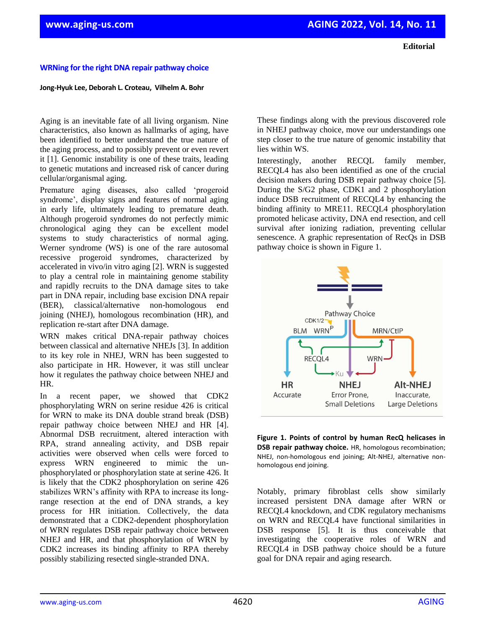## **WRNing for the right DNA repair pathway choice**

## **Jong-Hyuk Lee, Deborah L. Croteau, Vilhelm A. Bohr**

Aging is an inevitable fate of all living organism. Nine characteristics, also known as hallmarks of aging, have been identified to better understand the true nature of the aging process, and to possibly prevent or even revert it [1]. Genomic instability is one of these traits, leading to genetic mutations and increased risk of cancer during cellular/organismal aging.

Premature aging diseases, also called 'progeroid syndrome', display signs and features of normal aging in early life, ultimately leading to premature death. Although progeroid syndromes do not perfectly mimic chronological aging they can be excellent model systems to study characteristics of normal aging. Werner syndrome (WS) is one of the rare autosomal recessive progeroid syndromes, characterized by accelerated in vivo/in vitro aging [2]. WRN is suggested to play a central role in maintaining genome stability and rapidly recruits to the DNA damage sites to take part in DNA repair, including base excision DNA repair (BER), classical/alternative non-homologous end joining (NHEJ), homologous recombination (HR), and replication re-start after DNA damage.

WRN makes critical DNA-repair pathway choices between classical and alternative NHEJs [3]. In addition to its key role in NHEJ, WRN has been suggested to also participate in HR. However, it was still unclear how it regulates the pathway choice between NHEJ and HR.

In a recent paper, we showed that CDK2 phosphorylating WRN on serine residue 426 is critical for WRN to make its DNA double strand break (DSB) repair pathway choice between NHEJ and HR [4]. Abnormal DSB recruitment, altered interaction with RPA, strand annealing activity, and DSB repair activities were observed when cells were forced to express WRN engineered to mimic the unphosphorylated or phosphorylation state at serine 426. It is likely that the CDK2 phosphorylation on serine 426 stabilizes WRN's affinity with RPA to increase its longrange resection at the end of DNA strands, a key process for HR initiation. Collectively, the data demonstrated that a CDK2-dependent phosphorylation of WRN regulates DSB repair pathway choice between NHEJ and HR, and that phosphorylation of WRN by CDK2 increases its binding affinity to RPA thereby possibly stabilizing resected single-stranded DNA.

These findings along with the previous discovered role in NHEJ pathway choice, move our understandings one step closer to the true nature of genomic instability that lies within WS.

Interestingly, another RECQL family member, RECQL4 has also been identified as one of the crucial decision makers during DSB repair pathway choice [5]. During the S/G2 phase, CDK1 and 2 phosphorylation induce DSB recruitment of RECQL4 by enhancing the binding affinity to MRE11. RECQL4 phosphorylation promoted helicase activity, DNA end resection, and cell survival after ionizing radiation, preventing cellular senescence. A graphic representation of RecQs in DSB pathway choice is shown in Figure 1.



**Figure 1. Points of control by human RecQ helicases in DSB repair pathway choice.** HR, homologous recombination; NHEJ, non-homologous end joining; Alt-NHEJ, alternative nonhomologous end joining.

Notably, primary fibroblast cells show similarly increased persistent DNA damage after WRN or RECQL4 knockdown, and CDK regulatory mechanisms on WRN and RECQL4 have functional similarities in DSB response [5]. It is thus conceivable that investigating the cooperative roles of WRN and RECQL4 in DSB pathway choice should be a future goal for DNA repair and aging research.